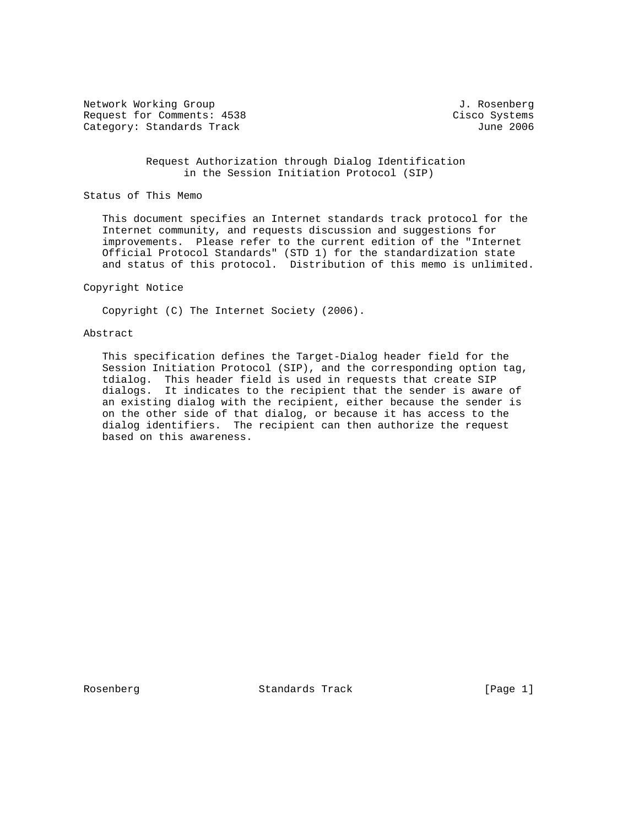Network Working Group and Communications of the Methods of American State of Tensors of Tensors and Tensors of T Request for Comments: 4538 Cisco Systems Category: Standards Track June 2006

 Request Authorization through Dialog Identification in the Session Initiation Protocol (SIP)

Status of This Memo

 This document specifies an Internet standards track protocol for the Internet community, and requests discussion and suggestions for improvements. Please refer to the current edition of the "Internet Official Protocol Standards" (STD 1) for the standardization state and status of this protocol. Distribution of this memo is unlimited.

# Copyright Notice

Copyright (C) The Internet Society (2006).

### Abstract

 This specification defines the Target-Dialog header field for the Session Initiation Protocol (SIP), and the corresponding option tag, tdialog. This header field is used in requests that create SIP dialogs. It indicates to the recipient that the sender is aware of an existing dialog with the recipient, either because the sender is on the other side of that dialog, or because it has access to the dialog identifiers. The recipient can then authorize the request based on this awareness.

Rosenberg **Standards Track** [Page 1]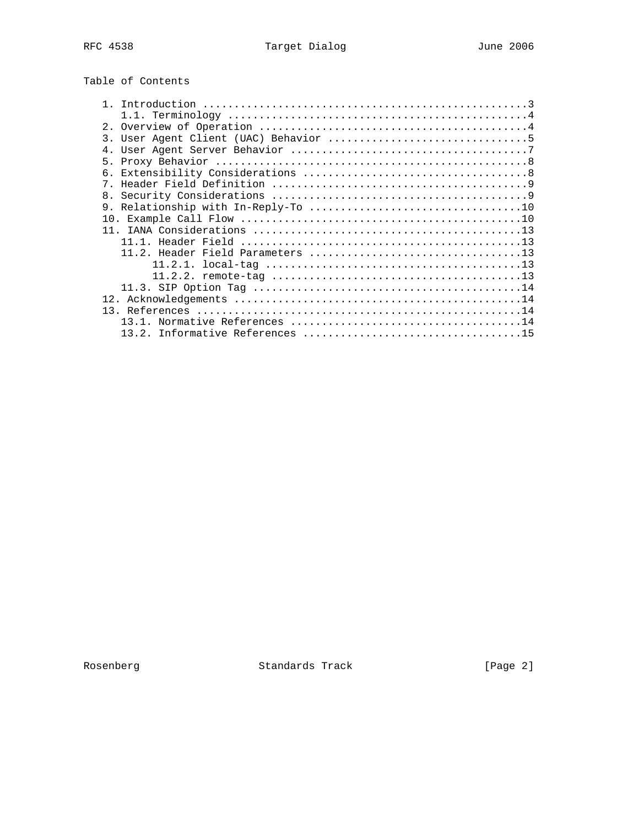| Table of Contents |
|-------------------|
|-------------------|

| 7 <sub>1</sub> |  |
|----------------|--|
|                |  |
|                |  |
|                |  |
|                |  |
|                |  |
|                |  |
|                |  |
|                |  |
|                |  |
|                |  |
|                |  |
|                |  |
|                |  |
|                |  |

Rosenberg Standards Track [Page 2]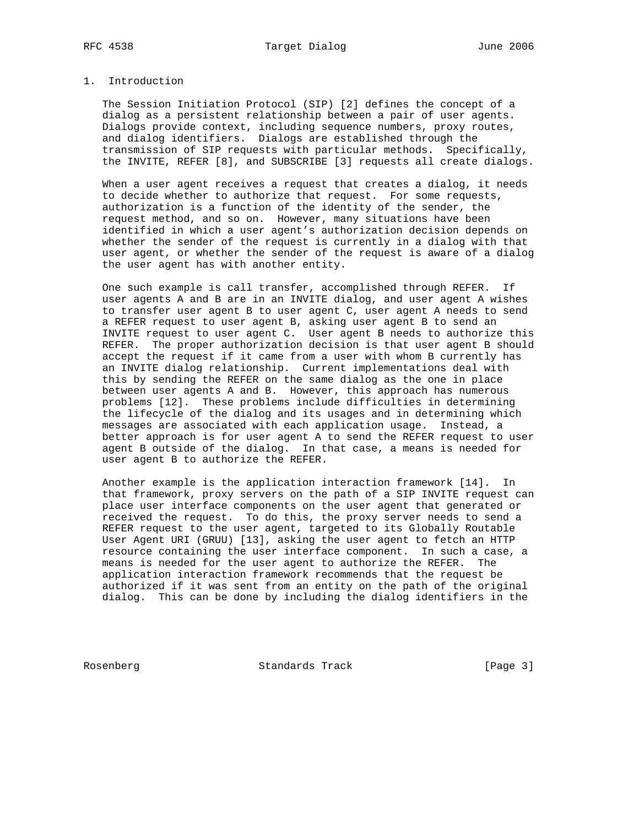# 1. Introduction

 The Session Initiation Protocol (SIP) [2] defines the concept of a dialog as a persistent relationship between a pair of user agents. Dialogs provide context, including sequence numbers, proxy routes, and dialog identifiers. Dialogs are established through the transmission of SIP requests with particular methods. Specifically, the INVITE, REFER [8], and SUBSCRIBE [3] requests all create dialogs.

When a user agent receives a request that creates a dialog, it needs to decide whether to authorize that request. For some requests, authorization is a function of the identity of the sender, the request method, and so on. However, many situations have been identified in which a user agent's authorization decision depends on whether the sender of the request is currently in a dialog with that user agent, or whether the sender of the request is aware of a dialog the user agent has with another entity.

 One such example is call transfer, accomplished through REFER. If user agents A and B are in an INVITE dialog, and user agent A wishes to transfer user agent B to user agent C, user agent A needs to send a REFER request to user agent B, asking user agent B to send an INVITE request to user agent C. User agent B needs to authorize this REFER. The proper authorization decision is that user agent B should accept the request if it came from a user with whom B currently has an INVITE dialog relationship. Current implementations deal with this by sending the REFER on the same dialog as the one in place between user agents A and B. However, this approach has numerous problems [12]. These problems include difficulties in determining the lifecycle of the dialog and its usages and in determining which messages are associated with each application usage. Instead, a better approach is for user agent A to send the REFER request to user agent B outside of the dialog. In that case, a means is needed for user agent B to authorize the REFER.

 Another example is the application interaction framework [14]. In that framework, proxy servers on the path of a SIP INVITE request can place user interface components on the user agent that generated or received the request. To do this, the proxy server needs to send a REFER request to the user agent, targeted to its Globally Routable User Agent URI (GRUU) [13], asking the user agent to fetch an HTTP resource containing the user interface component. In such a case, a means is needed for the user agent to authorize the REFER. The application interaction framework recommends that the request be authorized if it was sent from an entity on the path of the original dialog. This can be done by including the dialog identifiers in the

Rosenberg Standards Track [Page 3]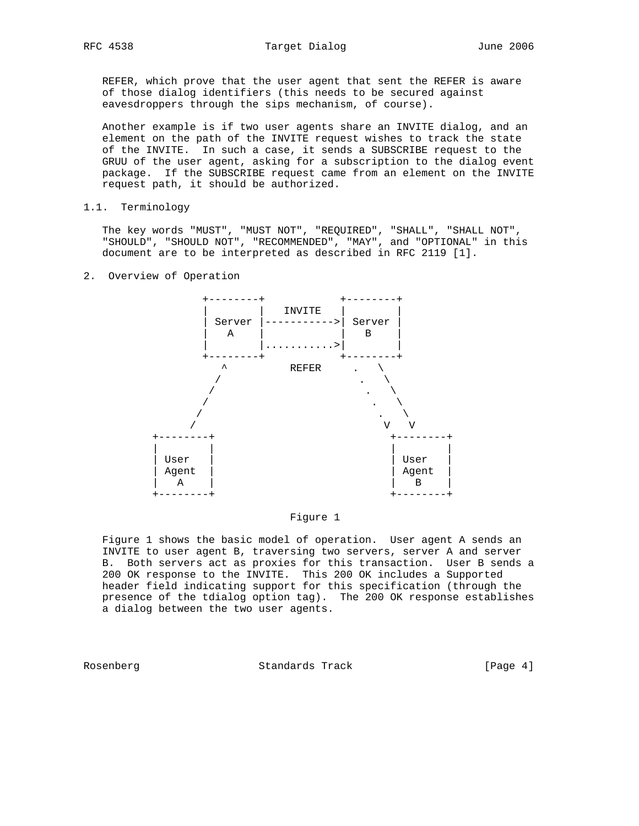REFER, which prove that the user agent that sent the REFER is aware of those dialog identifiers (this needs to be secured against eavesdroppers through the sips mechanism, of course).

 Another example is if two user agents share an INVITE dialog, and an element on the path of the INVITE request wishes to track the state of the INVITE. In such a case, it sends a SUBSCRIBE request to the GRUU of the user agent, asking for a subscription to the dialog event package. If the SUBSCRIBE request came from an element on the INVITE request path, it should be authorized.

### 1.1. Terminology

 The key words "MUST", "MUST NOT", "REQUIRED", "SHALL", "SHALL NOT", "SHOULD", "SHOULD NOT", "RECOMMENDED", "MAY", and "OPTIONAL" in this document are to be interpreted as described in RFC 2119 [1].

### 2. Overview of Operation





 Figure 1 shows the basic model of operation. User agent A sends an INVITE to user agent B, traversing two servers, server A and server B. Both servers act as proxies for this transaction. User B sends a 200 OK response to the INVITE. This 200 OK includes a Supported header field indicating support for this specification (through the presence of the tdialog option tag). The 200 OK response establishes a dialog between the two user agents.

Rosenberg **Standards Track** [Page 4]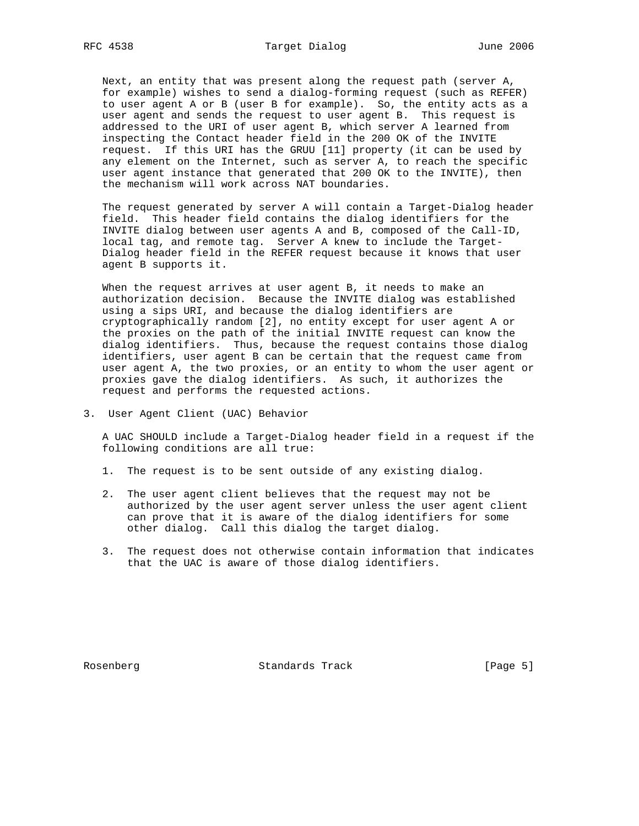Next, an entity that was present along the request path (server A, for example) wishes to send a dialog-forming request (such as REFER) to user agent A or B (user B for example). So, the entity acts as a user agent and sends the request to user agent B. This request is addressed to the URI of user agent B, which server A learned from inspecting the Contact header field in the 200 OK of the INVITE request. If this URI has the GRUU [11] property (it can be used by any element on the Internet, such as server A, to reach the specific user agent instance that generated that 200 OK to the INVITE), then the mechanism will work across NAT boundaries.

 The request generated by server A will contain a Target-Dialog header field. This header field contains the dialog identifiers for the INVITE dialog between user agents A and B, composed of the Call-ID, local tag, and remote tag. Server A knew to include the Target- Dialog header field in the REFER request because it knows that user agent B supports it.

When the request arrives at user agent B, it needs to make an authorization decision. Because the INVITE dialog was established using a sips URI, and because the dialog identifiers are cryptographically random [2], no entity except for user agent A or the proxies on the path of the initial INVITE request can know the dialog identifiers. Thus, because the request contains those dialog identifiers, user agent B can be certain that the request came from user agent A, the two proxies, or an entity to whom the user agent or proxies gave the dialog identifiers. As such, it authorizes the request and performs the requested actions.

3. User Agent Client (UAC) Behavior

 A UAC SHOULD include a Target-Dialog header field in a request if the following conditions are all true:

- 1. The request is to be sent outside of any existing dialog.
- 2. The user agent client believes that the request may not be authorized by the user agent server unless the user agent client can prove that it is aware of the dialog identifiers for some other dialog. Call this dialog the target dialog.
- 3. The request does not otherwise contain information that indicates that the UAC is aware of those dialog identifiers.

Rosenberg Standards Track [Page 5]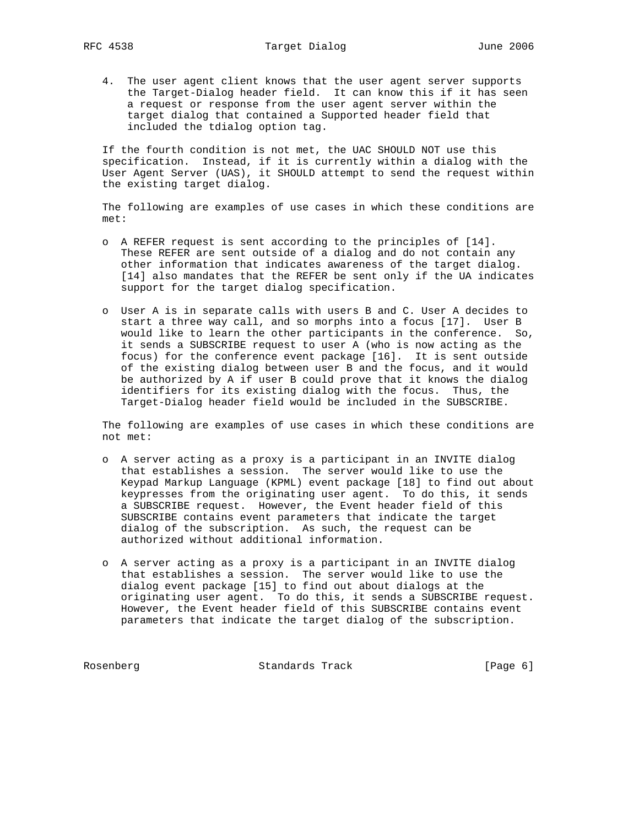4. The user agent client knows that the user agent server supports the Target-Dialog header field. It can know this if it has seen a request or response from the user agent server within the target dialog that contained a Supported header field that included the tdialog option tag.

 If the fourth condition is not met, the UAC SHOULD NOT use this specification. Instead, if it is currently within a dialog with the User Agent Server (UAS), it SHOULD attempt to send the request within the existing target dialog.

 The following are examples of use cases in which these conditions are met:

- o A REFER request is sent according to the principles of [14]. These REFER are sent outside of a dialog and do not contain any other information that indicates awareness of the target dialog. [14] also mandates that the REFER be sent only if the UA indicates support for the target dialog specification.
- o User A is in separate calls with users B and C. User A decides to start a three way call, and so morphs into a focus [17]. User B would like to learn the other participants in the conference. So, it sends a SUBSCRIBE request to user A (who is now acting as the focus) for the conference event package [16]. It is sent outside of the existing dialog between user B and the focus, and it would be authorized by A if user B could prove that it knows the dialog identifiers for its existing dialog with the focus. Thus, the Target-Dialog header field would be included in the SUBSCRIBE.

 The following are examples of use cases in which these conditions are not met:

- o A server acting as a proxy is a participant in an INVITE dialog that establishes a session. The server would like to use the Keypad Markup Language (KPML) event package [18] to find out about keypresses from the originating user agent. To do this, it sends a SUBSCRIBE request. However, the Event header field of this SUBSCRIBE contains event parameters that indicate the target dialog of the subscription. As such, the request can be authorized without additional information.
- o A server acting as a proxy is a participant in an INVITE dialog that establishes a session. The server would like to use the dialog event package [15] to find out about dialogs at the originating user agent. To do this, it sends a SUBSCRIBE request. However, the Event header field of this SUBSCRIBE contains event parameters that indicate the target dialog of the subscription.

Rosenberg Standards Track [Page 6]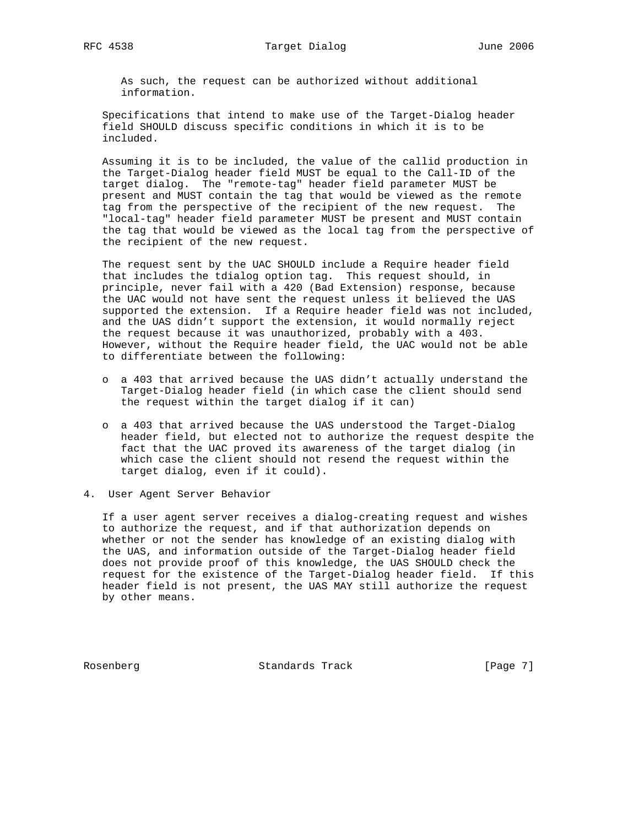As such, the request can be authorized without additional information.

 Specifications that intend to make use of the Target-Dialog header field SHOULD discuss specific conditions in which it is to be included.

 Assuming it is to be included, the value of the callid production in the Target-Dialog header field MUST be equal to the Call-ID of the target dialog. The "remote-tag" header field parameter MUST be present and MUST contain the tag that would be viewed as the remote tag from the perspective of the recipient of the new request. The "local-tag" header field parameter MUST be present and MUST contain the tag that would be viewed as the local tag from the perspective of the recipient of the new request.

 The request sent by the UAC SHOULD include a Require header field that includes the tdialog option tag. This request should, in principle, never fail with a 420 (Bad Extension) response, because the UAC would not have sent the request unless it believed the UAS supported the extension. If a Require header field was not included, and the UAS didn't support the extension, it would normally reject the request because it was unauthorized, probably with a 403. However, without the Require header field, the UAC would not be able to differentiate between the following:

- o a 403 that arrived because the UAS didn't actually understand the Target-Dialog header field (in which case the client should send the request within the target dialog if it can)
- o a 403 that arrived because the UAS understood the Target-Dialog header field, but elected not to authorize the request despite the fact that the UAC proved its awareness of the target dialog (in which case the client should not resend the request within the target dialog, even if it could).
- 4. User Agent Server Behavior

 If a user agent server receives a dialog-creating request and wishes to authorize the request, and if that authorization depends on whether or not the sender has knowledge of an existing dialog with the UAS, and information outside of the Target-Dialog header field does not provide proof of this knowledge, the UAS SHOULD check the request for the existence of the Target-Dialog header field. If this header field is not present, the UAS MAY still authorize the request by other means.

Rosenberg Standards Track [Page 7]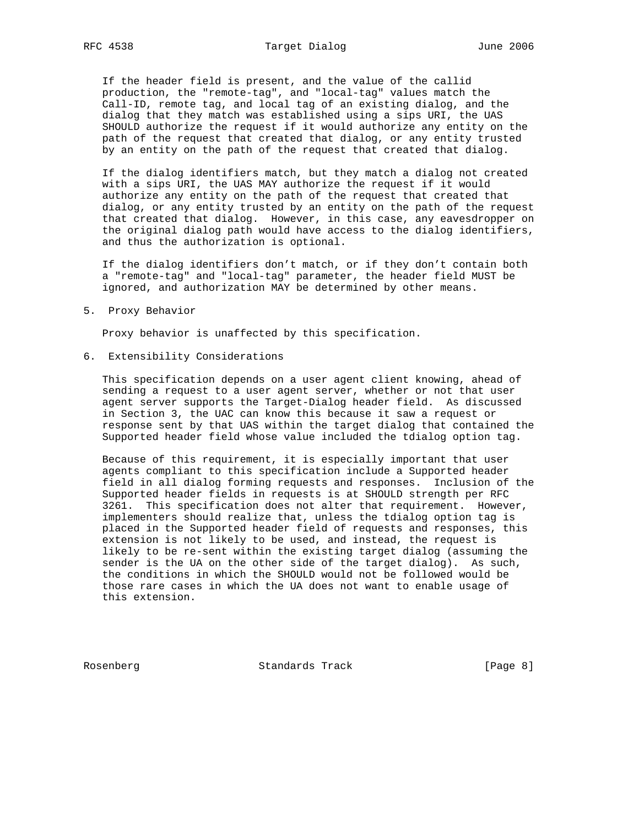If the header field is present, and the value of the callid production, the "remote-tag", and "local-tag" values match the Call-ID, remote tag, and local tag of an existing dialog, and the dialog that they match was established using a sips URI, the UAS SHOULD authorize the request if it would authorize any entity on the path of the request that created that dialog, or any entity trusted by an entity on the path of the request that created that dialog.

 If the dialog identifiers match, but they match a dialog not created with a sips URI, the UAS MAY authorize the request if it would authorize any entity on the path of the request that created that dialog, or any entity trusted by an entity on the path of the request that created that dialog. However, in this case, any eavesdropper on the original dialog path would have access to the dialog identifiers, and thus the authorization is optional.

 If the dialog identifiers don't match, or if they don't contain both a "remote-tag" and "local-tag" parameter, the header field MUST be ignored, and authorization MAY be determined by other means.

5. Proxy Behavior

Proxy behavior is unaffected by this specification.

6. Extensibility Considerations

 This specification depends on a user agent client knowing, ahead of sending a request to a user agent server, whether or not that user agent server supports the Target-Dialog header field. As discussed in Section 3, the UAC can know this because it saw a request or response sent by that UAS within the target dialog that contained the Supported header field whose value included the tdialog option tag.

 Because of this requirement, it is especially important that user agents compliant to this specification include a Supported header field in all dialog forming requests and responses. Inclusion of the Supported header fields in requests is at SHOULD strength per RFC 3261. This specification does not alter that requirement. However, implementers should realize that, unless the tdialog option tag is placed in the Supported header field of requests and responses, this extension is not likely to be used, and instead, the request is likely to be re-sent within the existing target dialog (assuming the sender is the UA on the other side of the target dialog). As such, the conditions in which the SHOULD would not be followed would be those rare cases in which the UA does not want to enable usage of this extension.

Rosenberg Standards Track [Page 8]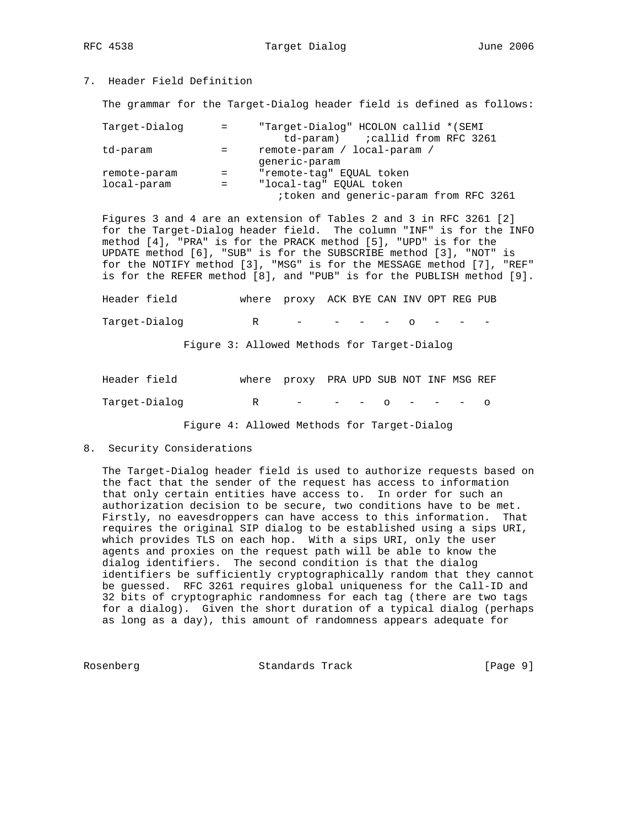RFC 4538 Target Dialog and June 2006

# 7. Header Field Definition

The grammar for the Target-Dialog header field is defined as follows:

| Target-Dialog | $=$ | "Target-Dialog" HCOLON callid *(SEMI   |
|---------------|-----|----------------------------------------|
|               |     | td-param) :callid from RFC 3261        |
| td-param      | $=$ | remote-param / local-param /           |
|               |     | qeneric-param                          |
| remote-param  |     | "remote-tag" EOUAL token               |
| local-param   | $=$ | "local-tag" EOUAL token                |
|               |     | itoken and generic-param from RFC 3261 |

 Figures 3 and 4 are an extension of Tables 2 and 3 in RFC 3261 [2] for the Target-Dialog header field. The column "INF" is for the INFO method [4], "PRA" is for the PRACK method [5], "UPD" is for the UPDATE method [6], "SUB" is for the SUBSCRIBE method [3], "NOT" is for the NOTIFY method [3], "MSG" is for the MESSAGE method [7], "REF" is for the REFER method [8], and "PUB" is for the PUBLISH method [9].

| Header field  | where proxy ACK BYE CAN INV OPT REG PUB |  |  |  |  |
|---------------|-----------------------------------------|--|--|--|--|
| Target-Dialog | R – – – – O – – –                       |  |  |  |  |

Figure 3: Allowed Methods for Target-Dialog

| Header field  |   | where proxy PRA UPD SUB NOT INF MSG REF |  |  |  |  |
|---------------|---|-----------------------------------------|--|--|--|--|
| Target-Dialog | R | $   \Omega$ $  \Omega$                  |  |  |  |  |

Figure 4: Allowed Methods for Target-Dialog

8. Security Considerations

 The Target-Dialog header field is used to authorize requests based on the fact that the sender of the request has access to information that only certain entities have access to. In order for such an authorization decision to be secure, two conditions have to be met. Firstly, no eavesdroppers can have access to this information. That requires the original SIP dialog to be established using a sips URI, which provides TLS on each hop. With a sips URI, only the user agents and proxies on the request path will be able to know the dialog identifiers. The second condition is that the dialog identifiers be sufficiently cryptographically random that they cannot be guessed. RFC 3261 requires global uniqueness for the Call-ID and 32 bits of cryptographic randomness for each tag (there are two tags for a dialog). Given the short duration of a typical dialog (perhaps as long as a day), this amount of randomness appears adequate for

Rosenberg **Standards Track** [Page 9]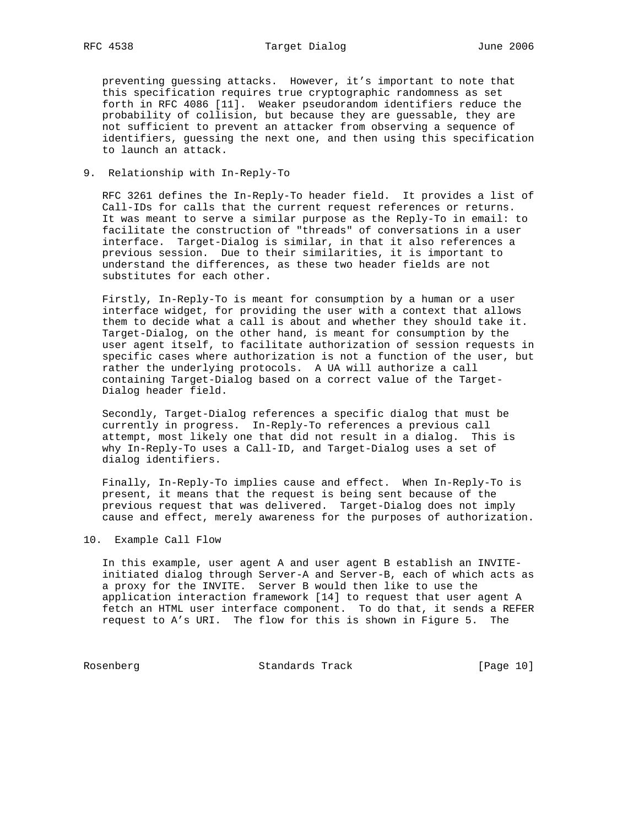preventing guessing attacks. However, it's important to note that this specification requires true cryptographic randomness as set forth in RFC 4086 [11]. Weaker pseudorandom identifiers reduce the probability of collision, but because they are guessable, they are not sufficient to prevent an attacker from observing a sequence of identifiers, guessing the next one, and then using this specification to launch an attack.

9. Relationship with In-Reply-To

 RFC 3261 defines the In-Reply-To header field. It provides a list of Call-IDs for calls that the current request references or returns. It was meant to serve a similar purpose as the Reply-To in email: to facilitate the construction of "threads" of conversations in a user interface. Target-Dialog is similar, in that it also references a previous session. Due to their similarities, it is important to understand the differences, as these two header fields are not substitutes for each other.

 Firstly, In-Reply-To is meant for consumption by a human or a user interface widget, for providing the user with a context that allows them to decide what a call is about and whether they should take it. Target-Dialog, on the other hand, is meant for consumption by the user agent itself, to facilitate authorization of session requests in specific cases where authorization is not a function of the user, but rather the underlying protocols. A UA will authorize a call containing Target-Dialog based on a correct value of the Target- Dialog header field.

 Secondly, Target-Dialog references a specific dialog that must be currently in progress. In-Reply-To references a previous call attempt, most likely one that did not result in a dialog. This is why In-Reply-To uses a Call-ID, and Target-Dialog uses a set of dialog identifiers.

 Finally, In-Reply-To implies cause and effect. When In-Reply-To is present, it means that the request is being sent because of the previous request that was delivered. Target-Dialog does not imply cause and effect, merely awareness for the purposes of authorization.

10. Example Call Flow

 In this example, user agent A and user agent B establish an INVITE initiated dialog through Server-A and Server-B, each of which acts as a proxy for the INVITE. Server B would then like to use the application interaction framework [14] to request that user agent A fetch an HTML user interface component. To do that, it sends a REFER request to A's URI. The flow for this is shown in Figure 5. The

Rosenberg Standards Track [Page 10]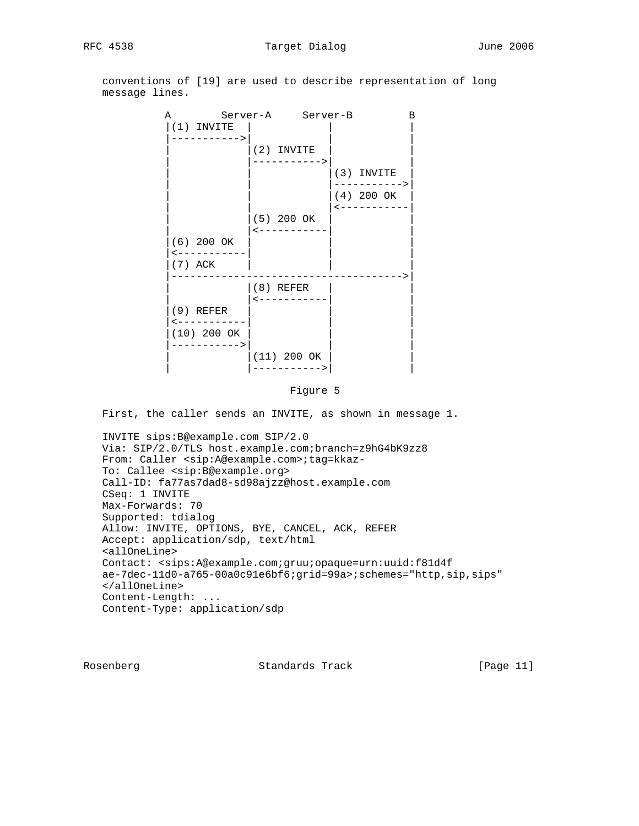conventions of [19] are used to describe representation of long message lines.



#### Figure 5

First, the caller sends an INVITE, as shown in message 1.

 INVITE sips:B@example.com SIP/2.0 Via: SIP/2.0/TLS host.example.com;branch=z9hG4bK9zz8 From: Caller <sip:A@example.com>;tag=kkaz- To: Callee <sip:B@example.org> Call-ID: fa77as7dad8-sd98ajzz@host.example.com CSeq: 1 INVITE Max-Forwards: 70 Supported: tdialog Allow: INVITE, OPTIONS, BYE, CANCEL, ACK, REFER Accept: application/sdp, text/html <allOneLine> Contact: <sips:A@example.com;gruu;opaque=urn:uuid:f81d4f ae-7dec-11d0-a765-00a0c91e6bf6;grid=99a>;schemes="http,sip,sips" </allOneLine> Content-Length: ... Content-Type: application/sdp

Rosenberg Standards Track [Page 11]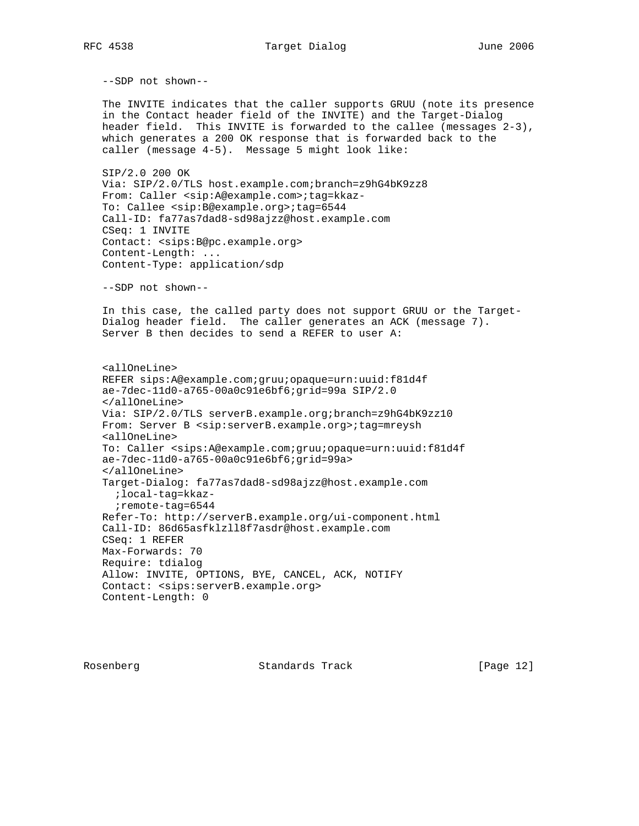RFC 4538 Target Dialog and June 2006

--SDP not shown--

 The INVITE indicates that the caller supports GRUU (note its presence in the Contact header field of the INVITE) and the Target-Dialog header field. This INVITE is forwarded to the callee (messages 2-3), which generates a 200 OK response that is forwarded back to the caller (message 4-5). Message 5 might look like:

 SIP/2.0 200 OK Via: SIP/2.0/TLS host.example.com;branch=z9hG4bK9zz8 From: Caller <sip:A@example.com>;tag=kkaz- To: Callee <sip:B@example.org>;tag=6544 Call-ID: fa77as7dad8-sd98ajzz@host.example.com CSeq: 1 INVITE Contact: <sips:B@pc.example.org> Content-Length: ... Content-Type: application/sdp

--SDP not shown--

 In this case, the called party does not support GRUU or the Target- Dialog header field. The caller generates an ACK (message 7). Server B then decides to send a REFER to user A:

 <allOneLine> REFER sips:A@example.com;gruu;opaque=urn:uuid:f81d4f ae-7dec-11d0-a765-00a0c91e6bf6;grid=99a SIP/2.0 </allOneLine> Via: SIP/2.0/TLS serverB.example.org;branch=z9hG4bK9zz10 From: Server B <sip:serverB.example.org>;tag=mreysh <allOneLine> To: Caller <sips:A@example.com;gruu;opaque=urn:uuid:f81d4f ae-7dec-11d0-a765-00a0c91e6bf6;grid=99a> </allOneLine> Target-Dialog: fa77as7dad8-sd98ajzz@host.example.com ;local-tag=kkaz- ;remote-tag=6544 Refer-To: http://serverB.example.org/ui-component.html Call-ID: 86d65asfklzll8f7asdr@host.example.com CSeq: 1 REFER Max-Forwards: 70 Require: tdialog Allow: INVITE, OPTIONS, BYE, CANCEL, ACK, NOTIFY Contact: <sips:serverB.example.org> Content-Length: 0

Rosenberg Standards Track [Page 12]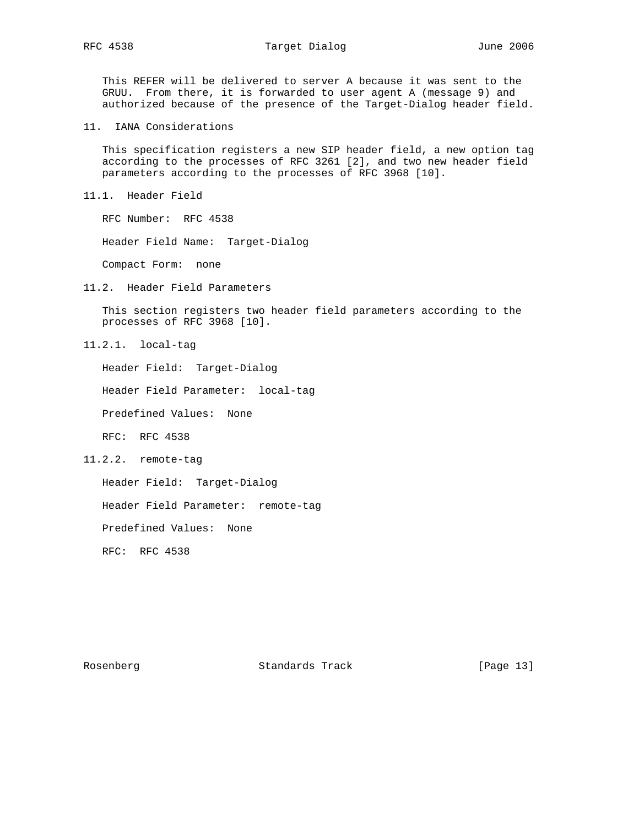This REFER will be delivered to server A because it was sent to the GRUU. From there, it is forwarded to user agent A (message 9) and authorized because of the presence of the Target-Dialog header field.

11. IANA Considerations

 This specification registers a new SIP header field, a new option tag according to the processes of RFC 3261 [2], and two new header field parameters according to the processes of RFC 3968 [10].

11.1. Header Field

RFC Number: RFC 4538

Header Field Name: Target-Dialog

Compact Form: none

11.2. Header Field Parameters

 This section registers two header field parameters according to the processes of RFC 3968 [10].

11.2.1. local-tag

Header Field: Target-Dialog

Header Field Parameter: local-tag

Predefined Values: None

RFC: RFC 4538

11.2.2. remote-tag

Header Field: Target-Dialog

Header Field Parameter: remote-tag

Predefined Values: None

RFC: RFC 4538

Rosenberg Standards Track [Page 13]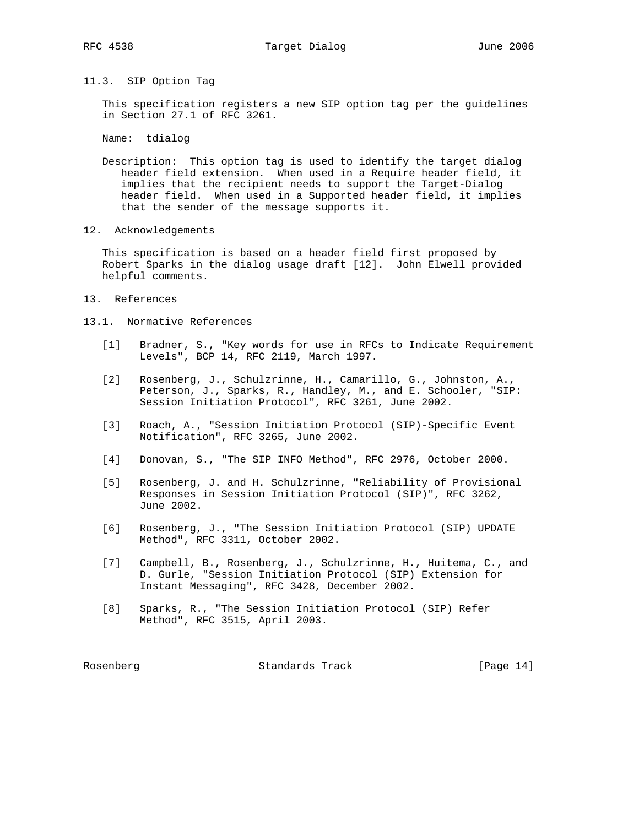11.3. SIP Option Tag

 This specification registers a new SIP option tag per the guidelines in Section 27.1 of RFC 3261.

Name: tdialog

 Description: This option tag is used to identify the target dialog header field extension. When used in a Require header field, it implies that the recipient needs to support the Target-Dialog header field. When used in a Supported header field, it implies that the sender of the message supports it.

12. Acknowledgements

 This specification is based on a header field first proposed by Robert Sparks in the dialog usage draft [12]. John Elwell provided helpful comments.

- 13. References
- 13.1. Normative References
	- [1] Bradner, S., "Key words for use in RFCs to Indicate Requirement Levels", BCP 14, RFC 2119, March 1997.
	- [2] Rosenberg, J., Schulzrinne, H., Camarillo, G., Johnston, A., Peterson, J., Sparks, R., Handley, M., and E. Schooler, "SIP: Session Initiation Protocol", RFC 3261, June 2002.
	- [3] Roach, A., "Session Initiation Protocol (SIP)-Specific Event Notification", RFC 3265, June 2002.
	- [4] Donovan, S., "The SIP INFO Method", RFC 2976, October 2000.
	- [5] Rosenberg, J. and H. Schulzrinne, "Reliability of Provisional Responses in Session Initiation Protocol (SIP)", RFC 3262, June 2002.
	- [6] Rosenberg, J., "The Session Initiation Protocol (SIP) UPDATE Method", RFC 3311, October 2002.
	- [7] Campbell, B., Rosenberg, J., Schulzrinne, H., Huitema, C., and D. Gurle, "Session Initiation Protocol (SIP) Extension for Instant Messaging", RFC 3428, December 2002.
	- [8] Sparks, R., "The Session Initiation Protocol (SIP) Refer Method", RFC 3515, April 2003.

Rosenberg Standards Track [Page 14]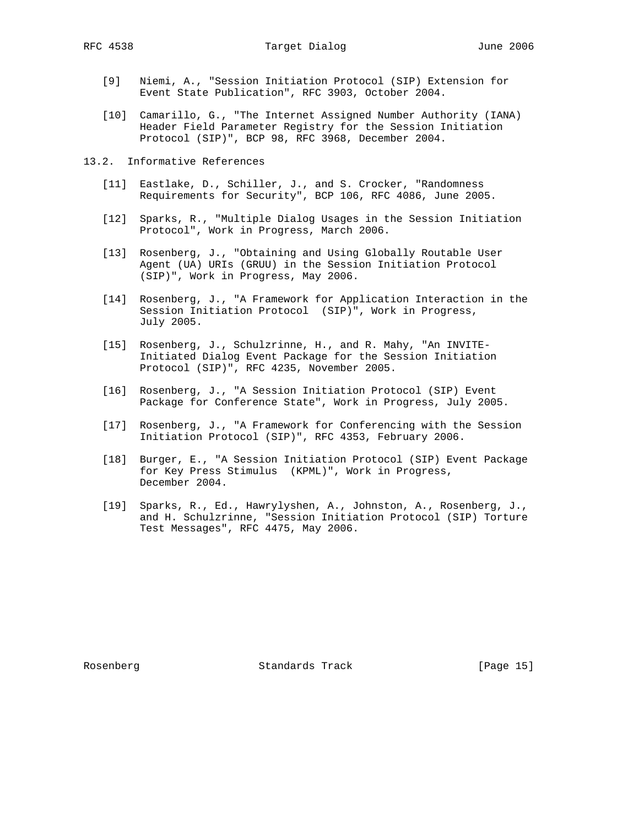RFC 4538 Target Dialog June 2006

- [9] Niemi, A., "Session Initiation Protocol (SIP) Extension for Event State Publication", RFC 3903, October 2004.
- [10] Camarillo, G., "The Internet Assigned Number Authority (IANA) Header Field Parameter Registry for the Session Initiation Protocol (SIP)", BCP 98, RFC 3968, December 2004.
- 13.2. Informative References
	- [11] Eastlake, D., Schiller, J., and S. Crocker, "Randomness Requirements for Security", BCP 106, RFC 4086, June 2005.
	- [12] Sparks, R., "Multiple Dialog Usages in the Session Initiation Protocol", Work in Progress, March 2006.
	- [13] Rosenberg, J., "Obtaining and Using Globally Routable User Agent (UA) URIs (GRUU) in the Session Initiation Protocol (SIP)", Work in Progress, May 2006.
	- [14] Rosenberg, J., "A Framework for Application Interaction in the Session Initiation Protocol (SIP)", Work in Progress, July 2005.
	- [15] Rosenberg, J., Schulzrinne, H., and R. Mahy, "An INVITE- Initiated Dialog Event Package for the Session Initiation Protocol (SIP)", RFC 4235, November 2005.
	- [16] Rosenberg, J., "A Session Initiation Protocol (SIP) Event Package for Conference State", Work in Progress, July 2005.
	- [17] Rosenberg, J., "A Framework for Conferencing with the Session Initiation Protocol (SIP)", RFC 4353, February 2006.
	- [18] Burger, E., "A Session Initiation Protocol (SIP) Event Package for Key Press Stimulus (KPML)", Work in Progress, December 2004.
	- [19] Sparks, R., Ed., Hawrylyshen, A., Johnston, A., Rosenberg, J., and H. Schulzrinne, "Session Initiation Protocol (SIP) Torture Test Messages", RFC 4475, May 2006.

Rosenberg Standards Track [Page 15]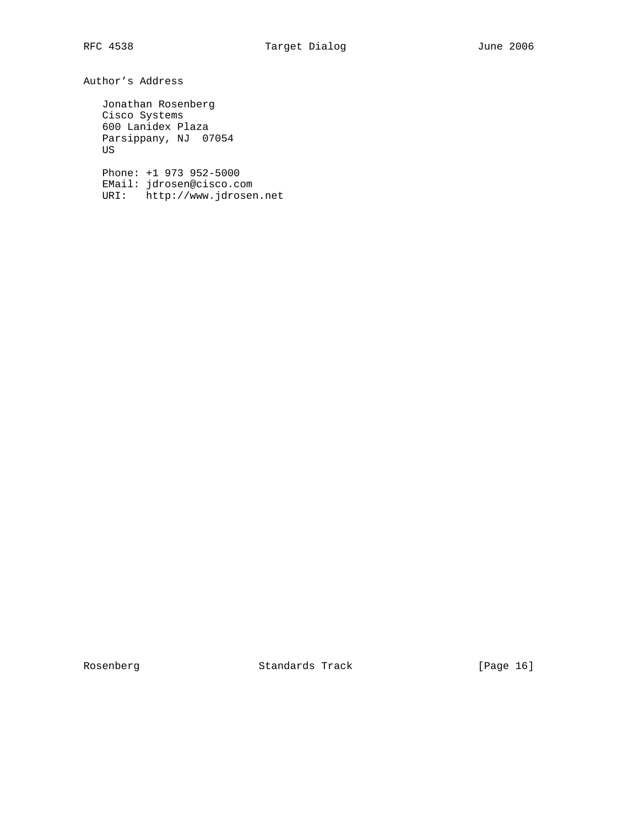Author's Address

 Jonathan Rosenberg Cisco Systems 600 Lanidex Plaza Parsippany, NJ 07054 US

 Phone: +1 973 952-5000 EMail: jdrosen@cisco.com URI: http://www.jdrosen.net

Rosenberg Standards Track [Page 16]